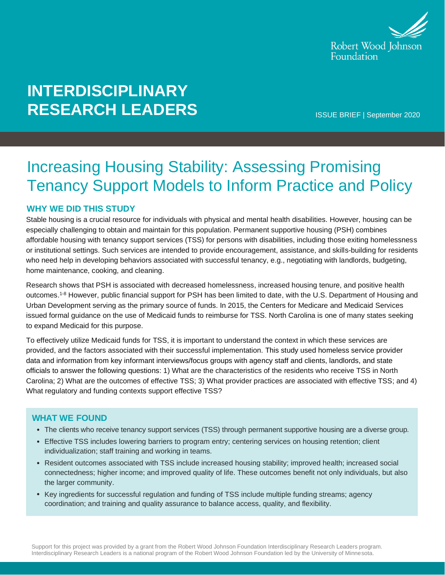

# **INTERDISCIPLINARY RESEARCH LEADERS**

ISSUE BRIEF | September 2020

## Increasing Housing Stability: Assessing Promising Tenancy Support Models to Inform Practice and Policy

#### **WHY WE DID THIS STUDY**

Stable housing is a crucial resource for individuals with physical and mental health disabilities. However, housing can be especially challenging to obtain and maintain for this population. Permanent supportive housing (PSH) combines affordable housing with tenancy support services (TSS) for persons with disabilities, including those exiting homelessness or institutional settings. Such services are intended to provide encouragement, assistance, and skills-building for residents who need help in developing behaviors associated with successful tenancy, e.g., negotiating with landlords, budgeting, home maintenance, cooking, and cleaning.

Research shows that PSH is associated with decreased homelessness, increased housing tenure, and positive health outcomes.1-8 However, public financial support for PSH has been limited to date, with the U.S. Department of Housing and Urban Development serving as the primary source of funds. In 2015, the Centers for Medicare and Medicaid Services issued formal guidance on the use of Medicaid funds to reimburse for TSS. North Carolina is one of many states seeking to expand Medicaid for this purpose.

To effectively utilize Medicaid funds for TSS, it is important to understand the context in which these services are provided, and the factors associated with their successful implementation. This study used homeless service provider data and information from key informant interviews/focus groups with agency staff and clients, landlords, and state officials to answer the following questions: 1) What are the characteristics of the residents who receive TSS in North Carolina; 2) What are the outcomes of effective TSS; 3) What provider practices are associated with effective TSS; and 4) What regulatory and funding contexts support effective TSS?

#### **WHAT WE FOUND**

- The clients who receive tenancy support services (TSS) through permanent supportive housing are a diverse group.
- Effective TSS includes lowering barriers to program entry; centering services on housing retention; client individualization; staff training and working in teams.
- Resident outcomes associated with TSS include increased housing stability; improved health; increased social connectedness; higher income; and improved quality of life. These outcomes benefit not only individuals, but also the larger community.
- Key ingredients for successful regulation and funding of TSS include multiple funding streams; agency coordination; and training and quality assurance to balance access, quality, and flexibility.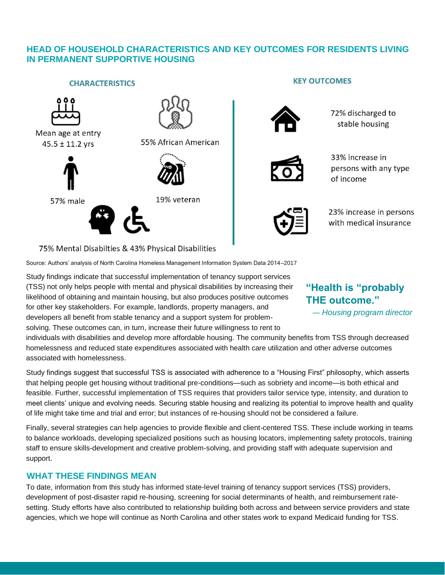#### **HEAD OF HOUSEHOLD CHARACTERISTICS AND KEY OUTCOMES FOR RESIDENTS LIVING IN PERMANENT SUPPORTIVE HOUSING**



75% Mental Disabilties & 43% Physical Disabilities

Source: Authors' analysis of North Carolina Homeless Management Information System Data 2014–2017

Study findings indicate that successful implementation of tenancy support services (TSS) not only helps people with mental and physical disabilities by increasing their likelihood of obtaining and maintain housing, but also produces positive outcomes for other key stakeholders. For example, landlords, property managers, and developers all benefit from stable tenancy and a support system for problemsolving. These outcomes can, in turn, increase their future willingness to rent to

### **"Health is "probably THE outcome."**

— *Housing program director*

individuals with disabilities and develop more affordable housing. The community benefits from TSS through decreased homelessness and reduced state expenditures associated with health care utilization and other adverse outcomes associated with homelessness.

Study findings suggest that successful TSS is associated with adherence to a "Housing First" philosophy, which asserts that helping people get housing without traditional pre-conditions—such as sobriety and income—is both ethical and feasible. Further, successful implementation of TSS requires that providers tailor service type, intensity, and duration to meet clients' unique and evolving needs. Securing stable housing and realizing its potential to improve health and quality of life might take time and trial and error; but instances of re-housing should not be considered a failure.

Finally, several strategies can help agencies to provide flexible and client-centered TSS. These include working in teams to balance workloads, developing specialized positions such as housing locators, implementing safety protocols, training staff to ensure skills-development and creative problem-solving, and providing staff with adequate supervision and support.

#### **WHAT THESE FINDINGS MEAN**

To date, information from this study has informed state-level training of tenancy support services (TSS) providers, development of post-disaster rapid re-housing, screening for social determinants of health, and reimbursement ratesetting. Study efforts have also contributed to relationship building both across and between service providers and state agencies, which we hope will continue as North Carolina and other states work to expand Medicaid funding for TSS.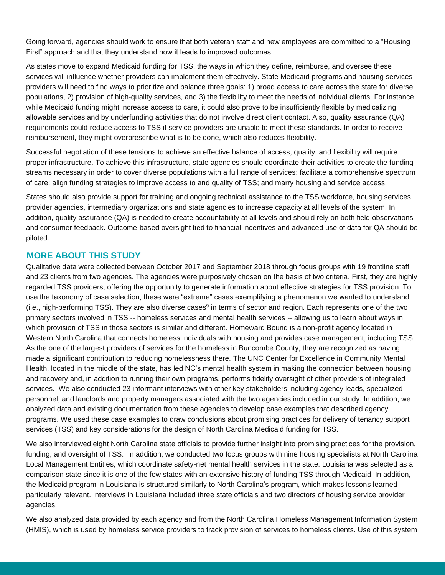Going forward, agencies should work to ensure that both veteran staff and new employees are committed to a "Housing First" approach and that they understand how it leads to improved outcomes.

As states move to expand Medicaid funding for TSS, the ways in which they define, reimburse, and oversee these services will influence whether providers can implement them effectively. State Medicaid programs and housing services providers will need to find ways to prioritize and balance three goals: 1) broad access to care across the state for diverse populations, 2) provision of high-quality services, and 3) the flexibility to meet the needs of individual clients. For instance, while Medicaid funding might increase access to care, it could also prove to be insufficiently flexible by medicalizing allowable services and by underfunding activities that do not involve direct client contact. Also, quality assurance (QA) requirements could reduce access to TSS if service providers are unable to meet these standards. In order to receive reimbursement, they might overprescribe what is to be done, which also reduces flexibility.

Successful negotiation of these tensions to achieve an effective balance of access, quality, and flexibility will require proper infrastructure. To achieve this infrastructure, state agencies should coordinate their activities to create the funding streams necessary in order to cover diverse populations with a full range of services; facilitate a comprehensive spectrum of care; align funding strategies to improve access to and quality of TSS; and marry housing and service access.

States should also provide support for training and ongoing technical assistance to the TSS workforce, housing services provider agencies, intermediary organizations and state agencies to increase capacity at all levels of the system. In addition, quality assurance (QA) is needed to create accountability at all levels and should rely on both field observations and consumer feedback. Outcome-based oversight tied to financial incentives and advanced use of data for QA should be piloted.

#### **MORE ABOUT THIS STUDY**

Qualitative data were collected between October 2017 and September 2018 through focus groups with 19 frontline staff and 23 clients from two agencies. The agencies were purposively chosen on the basis of two criteria. First, they are highly regarded TSS providers, offering the opportunity to generate information about effective strategies for TSS provision. To use the taxonomy of case selection, these were "extreme" cases exemplifying a phenomenon we wanted to understand (i.e., high-performing TSS). They are also diverse cases<sup>9</sup> in terms of sector and region. Each represents one of the two primary sectors involved in TSS -- homeless services and mental health services -- allowing us to learn about ways in which provision of TSS in those sectors is similar and different. Homeward Bound is a non-profit agency located in Western North Carolina that connects homeless individuals with housing and provides case management, including TSS. As the one of the largest providers of services for the homeless in Buncombe County, they are recognized as having made a significant contribution to reducing homelessness there. The UNC Center for Excellence in Community Mental Health, located in the middle of the state, has led NC's mental health system in making the connection between housing and recovery and, in addition to running their own programs, performs fidelity oversight of other providers of integrated services. We also conducted 23 informant interviews with other key stakeholders including agency leads, specialized personnel, and landlords and property managers associated with the two agencies included in our study. In addition, we analyzed data and existing documentation from these agencies to develop case examples that described agency programs. We used these case examples to draw conclusions about promising practices for delivery of tenancy support services (TSS) and key considerations for the design of North Carolina Medicaid funding for TSS.

We also interviewed eight North Carolina state officials to provide further insight into promising practices for the provision, funding, and oversight of TSS. In addition, we conducted two focus groups with nine housing specialists at North Carolina Local Management Entities, which coordinate safety-net mental health services in the state. Louisiana was selected as a comparison state since it is one of the few states with an extensive history of funding TSS through Medicaid. In addition, the Medicaid program in Louisiana is structured similarly to North Carolina's program, which makes lessons learned particularly relevant. Interviews in Louisiana included three state officials and two directors of housing service provider agencies.

We also analyzed data provided by each agency and from the North Carolina Homeless Management Information System (HMIS), which is used by homeless service providers to track provision of services to homeless clients. Use of this system